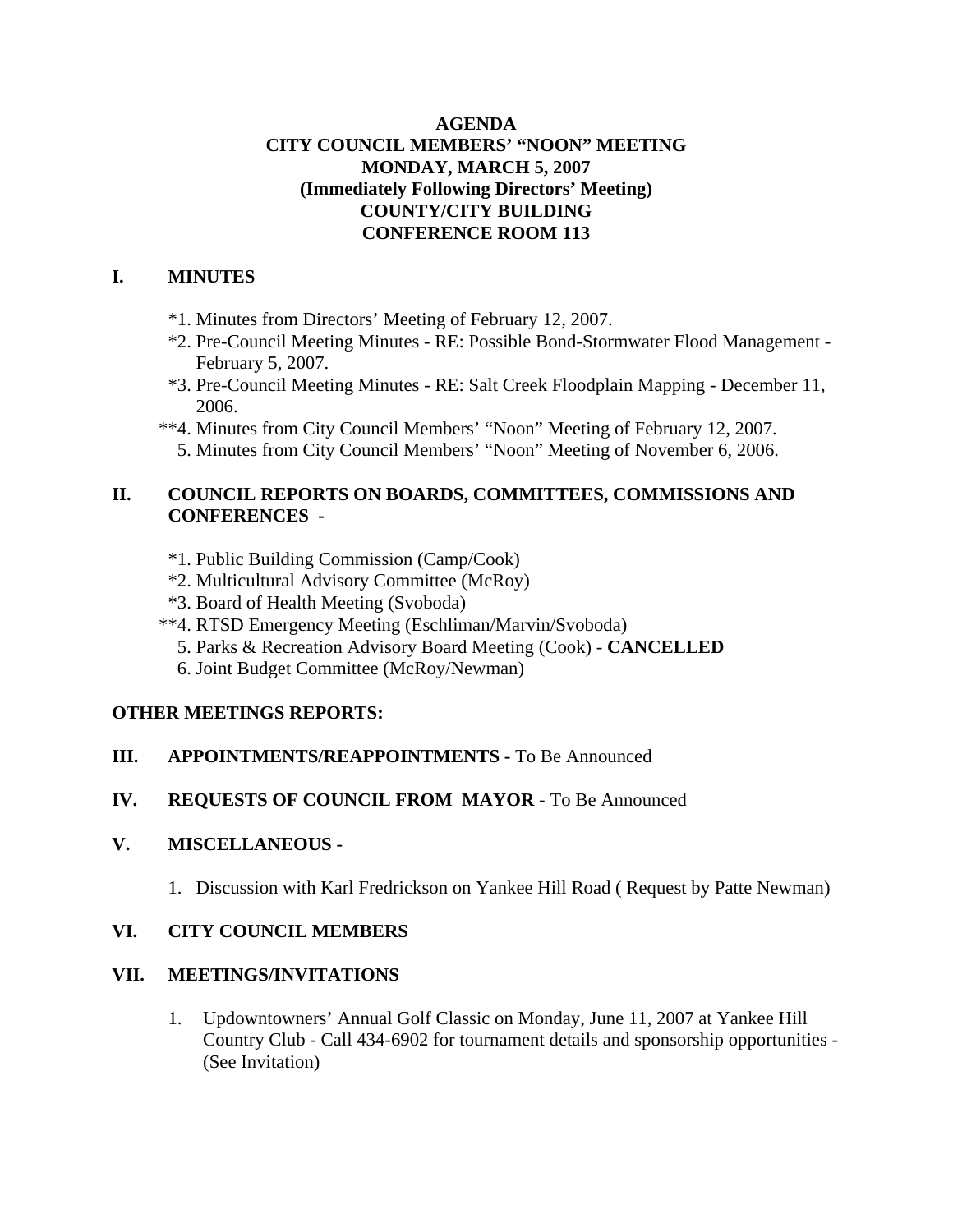### **AGENDA CITY COUNCIL MEMBERS' "NOON" MEETING MONDAY, MARCH 5, 2007 (Immediately Following Directors' Meeting) COUNTY/CITY BUILDING CONFERENCE ROOM 113**

#### **I. MINUTES**

- \*1. Minutes from Directors' Meeting of February 12, 2007.
- \*2. Pre-Council Meeting Minutes RE: Possible Bond-Stormwater Flood Management February 5, 2007.
- \*3. Pre-Council Meeting Minutes RE: Salt Creek Floodplain Mapping December 11, 2006.
- \*\*4. Minutes from City Council Members' "Noon" Meeting of February 12, 2007.
	- 5. Minutes from City Council Members' "Noon" Meeting of November 6, 2006.

### **II. COUNCIL REPORTS ON BOARDS, COMMITTEES, COMMISSIONS AND CONFERENCES -**

- \*1. Public Building Commission (Camp/Cook)
- \*2. Multicultural Advisory Committee (McRoy)
- \*3. Board of Health Meeting (Svoboda)
- \*\*4. RTSD Emergency Meeting (Eschliman/Marvin/Svoboda)
	- 5. Parks & Recreation Advisory Board Meeting (Cook) **CANCELLED**
	- 6. Joint Budget Committee (McRoy/Newman)

### **OTHER MEETINGS REPORTS:**

- **III.** APPOINTMENTS/REAPPOINTMENTS To Be Announced
- **IV. REQUESTS OF COUNCIL FROM MAYOR -** To Be Announced

# **V. MISCELLANEOUS -**

1. Discussion with Karl Fredrickson on Yankee Hill Road ( Request by Patte Newman)

# **VI. CITY COUNCIL MEMBERS**

### **VII. MEETINGS/INVITATIONS**

1. Updowntowners' Annual Golf Classic on Monday, June 11, 2007 at Yankee Hill Country Club - Call 434-6902 for tournament details and sponsorship opportunities - (See Invitation)